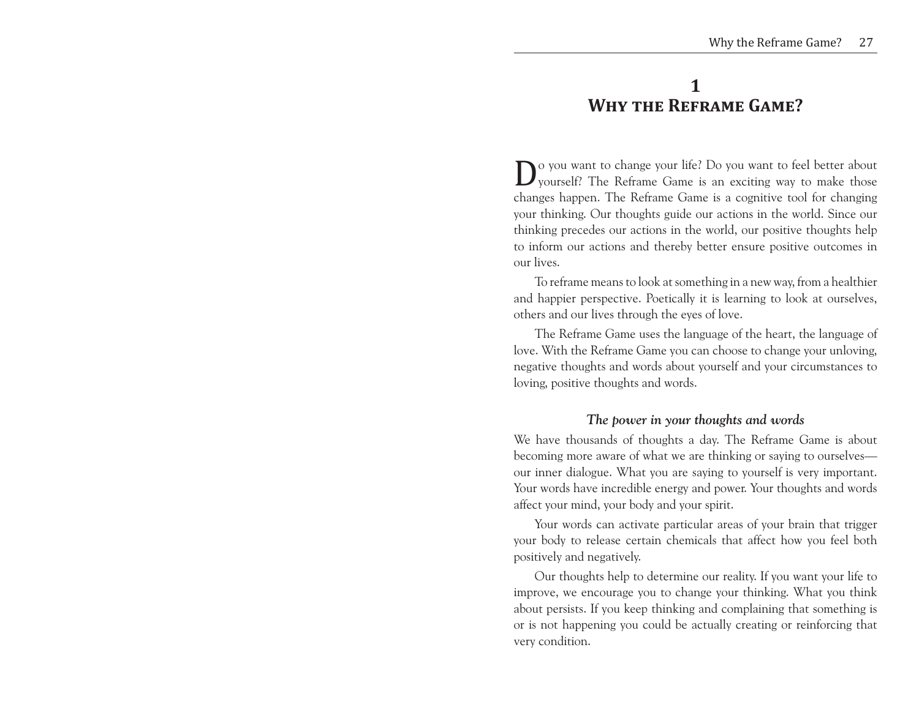# **1 Why the Reframe Game?**

**D**o you want to change your life? Do you want to feel better about yourself? The Reframe Game is an exciting way to make those changes happen. The Reframe Game is a cognitive tool for changing yourself? The Reframe Game is an exciting way to make those changes happen. The Reframe Game is a cognitive tool for changing your thinking. Our thoughts guide our actions in the world. Since our thinking precedes our actions in the world, our positive thoughts help to inform our actions and thereby better ensure positive outcomes in our lives.

To reframe means to look at something in a new way, from a healthier and happier perspective. Poetically it is learning to look at ourselves, others and our lives through the eyes of love.

The Reframe Game uses the language of the heart, the language of love. With the Reframe Game you can choose to change your unloving, negative thoughts and words about yourself and your circumstances to loving, positive thoughts and words.

## *The power in your thoughts and words*

We have thousands of thoughts a day. The Reframe Game is about becoming more aware of what we are thinking or saying to ourselves our inner dialogue. What you are saying to yourself is very important. Your words have incredible energy and power. Your thoughts and words affect your mind, your body and your spirit.

Your words can activate particular areas of your brain that trigger your body to release certain chemicals that affect how you feel both positively and negatively.

Our thoughts help to determine our reality. If you want your life to improve, we encourage you to change your thinking. What you think about persists. If you keep thinking and complaining that something is or is not happening you could be actually creating or reinforcing that very condition.